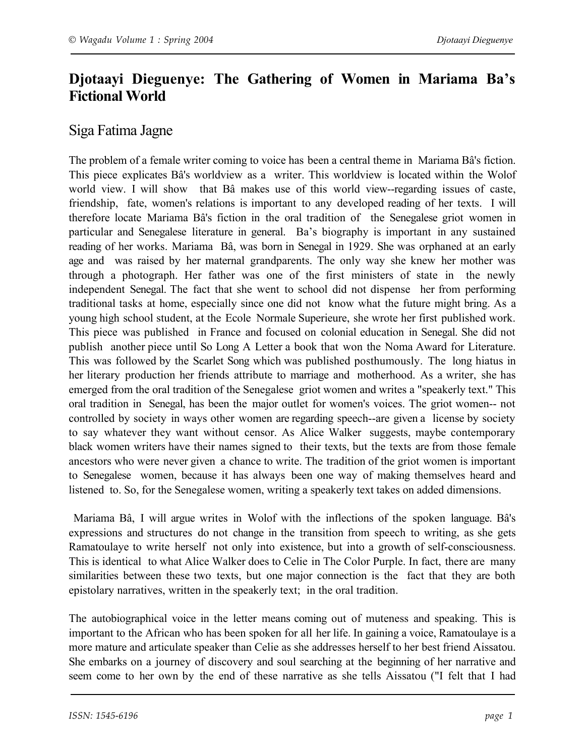# **Djotaayi Dieguenye: The Gathering of Women in Mariama Ba's Fictional World**

## Siga Fatima Jagne

The problem of a female writer coming to voice has been a central theme in Mariama Bâ's fiction. This piece explicates Bâ's worldview as a writer. This worldview is located within the Wolof world view. I will show that Bâ makes use of this world view--regarding issues of caste, friendship, fate, women's relations is important to any developed reading of her texts. I will therefore locate Mariama Bâ's fiction in the oral tradition of the Senegalese griot women in particular and Senegalese literature in general. Ba's biography is important in any sustained reading of her works. Mariama Bâ, was born in Senegal in 1929. She was orphaned at an early age and was raised by her maternal grandparents. The only way she knew her mother was through a photograph. Her father was one of the first ministers of state in the newly independent Senegal. The fact that she went to school did not dispense her from performing traditional tasks at home, especially since one did not know what the future might bring. As a young high school student, at the Ecole Normale Superieure, she wrote her first published work. This piece was published in France and focused on colonial education in Senegal. She did not publish another piece until So Long A Letter a book that won the Noma Award for Literature. This was followed by the Scarlet Song which was published posthumously. The long hiatus in her literary production her friends attribute to marriage and motherhood. As a writer, she has emerged from the oral tradition of the Senegalese griot women and writes a "speakerly text." This oral tradition in Senegal, has been the major outlet for women's voices. The griot women-- not controlled by society in ways other women are regarding speech--are given a license by society to say whatever they want without censor. As Alice Walker suggests, maybe contemporary black women writers have their names signed to their texts, but the texts are from those female ancestors who were never given a chance to write. The tradition of the griot women is important to Senegalese women, because it has always been one way of making themselves heard and listened to. So, for the Senegalese women, writing a speakerly text takes on added dimensions.

Mariama Bâ, I will argue writes in Wolof with the inflections of the spoken language. Bâ's expressions and structures do not change in the transition from speech to writing, as she gets Ramatoulaye to write herself not only into existence, but into a growth of self-consciousness. This is identical to what Alice Walker does to Celie in The Color Purple. In fact, there are many similarities between these two texts, but one major connection is the fact that they are both epistolary narratives, written in the speakerly text; in the oral tradition.

The autobiographical voice in the letter means coming out of muteness and speaking. This is important to the African who has been spoken for all her life. In gaining a voice, Ramatoulaye is a more mature and articulate speaker than Celie as she addresses herself to her best friend Aissatou. She embarks on a journey of discovery and soul searching at the beginning of her narrative and seem come to her own by the end of these narrative as she tells Aissatou ("I felt that I had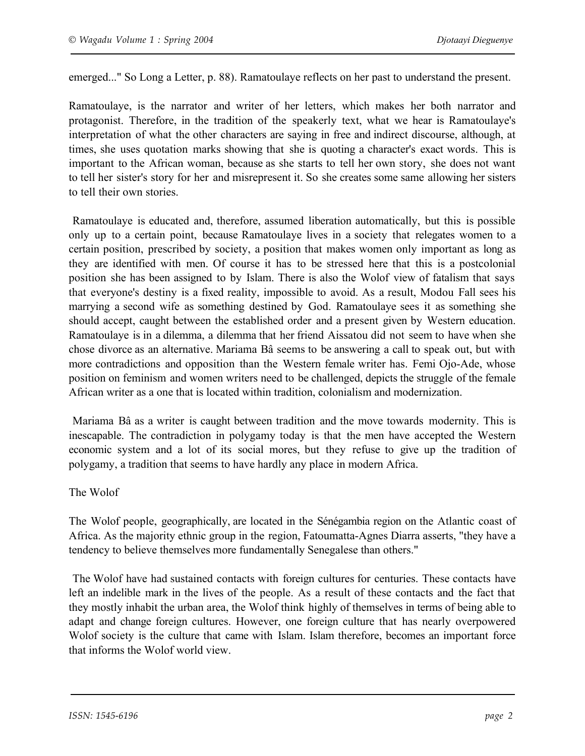emerged..." So Long a Letter, p. 88). Ramatoulaye reflects on her past to understand the present.

Ramatoulaye, is the narrator and writer of her letters, which makes her both narrator and protagonist. Therefore, in the tradition of the speakerly text, what we hear is Ramatoulaye's interpretation of what the other characters are saying in free and indirect discourse, although, at times, she uses quotation marks showing that she is quoting a character's exact words. This is important to the African woman, because as she starts to tell her own story, she does not want to tell her sister's story for her and misrepresent it. So she creates some same allowing her sisters to tell their own stories.

Ramatoulaye is educated and, therefore, assumed liberation automatically, but this is possible only up to a certain point, because Ramatoulaye lives in a society that relegates women to a certain position, prescribed by society, a position that makes women only important as long as they are identified with men. Of course it has to be stressed here that this is a postcolonial position she has been assigned to by Islam. There is also the Wolof view of fatalism that says that everyone's destiny is a fixed reality, impossible to avoid. As a result, Modou Fall sees his marrying a second wife as something destined by God. Ramatoulaye sees it as something she should accept, caught between the established order and a present given by Western education. Ramatoulaye is in a dilemma, a dilemma that her friend Aissatou did not seem to have when she chose divorce as an alternative. Mariama Bâ seems to be answering a call to speak out, but with more contradictions and opposition than the Western female writer has. Femi Ojo-Ade, whose position on feminism and women writers need to be challenged, depicts the struggle of the female African writer as a one that is located within tradition, colonialism and modernization.

Mariama Bâ as a writer is caught between tradition and the move towards modernity. This is inescapable. The contradiction in polygamy today is that the men have accepted the Western economic system and a lot of its social mores, but they refuse to give up the tradition of polygamy, a tradition that seems to have hardly any place in modern Africa.

### The Wolof

The Wolof people, geographically, are located in the Sénégambia region on the Atlantic coast of Africa. As the majority ethnic group in the region, Fatoumatta-Agnes Diarra asserts, "they have a tendency to believe themselves more fundamentally Senegalese than others."

The Wolof have had sustained contacts with foreign cultures for centuries. These contacts have left an indelible mark in the lives of the people. As a result of these contacts and the fact that they mostly inhabit the urban area, the Wolof think highly of themselves in terms of being able to adapt and change foreign cultures. However, one foreign culture that has nearly overpowered Wolof society is the culture that came with Islam. Islam therefore, becomes an important force that informs the Wolof world view.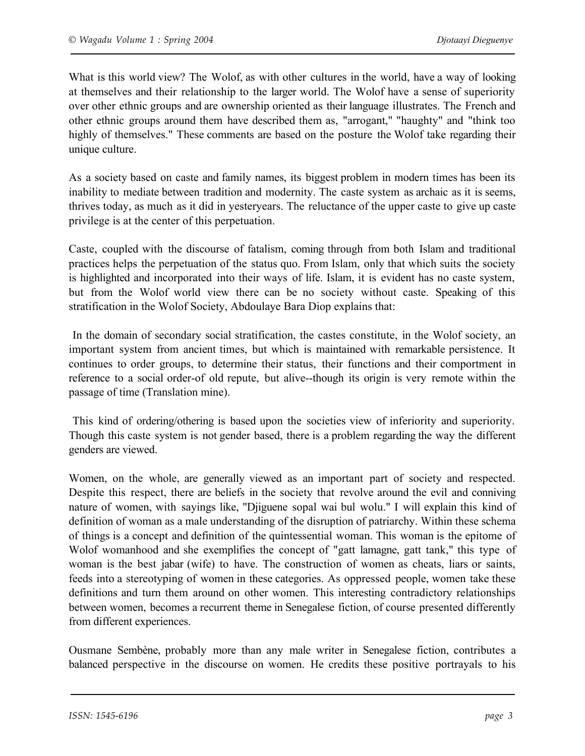What is this world view? The Wolof, as with other cultures in the world, have a way of looking at themselves and their relationship to the larger world. The Wolof have a sense of superiority over other ethnic groups and are ownership oriented as their language illustrates. The French and other ethnic groups around them have described them as, "arrogant," "haughty" and "think too highly of themselves." These comments are based on the posture the Wolof take regarding their unique culture.

As a society based on caste and family names, its biggest problem in modern times has been its inability to mediate between tradition and modernity. The caste system as archaic as it is seems, thrives today, as much as it did in yesteryears. The reluctance of the upper caste to give up caste privilege is at the center of this perpetuation.

Caste, coupled with the discourse of fatalism, coming through from both Islam and traditional practices helps the perpetuation of the status quo. From Islam, only that which suits the society is highlighted and incorporated into their ways of life. Islam, it is evident has no caste system, but from the Wolof world view there can be no society without caste. Speaking of this stratification in the Wolof Society, Abdoulaye Bara Diop explains that:

In the domain of secondary social stratification, the castes constitute, in the Wolof society, an important system from ancient times, but which is maintained with remarkable persistence. It continues to order groups, to determine their status, their functions and their comportment in reference to a social order-of old repute, but alive--though its origin is very remote within the passage of time (Translation mine).

This kind of ordering/othering is based upon the societies view of inferiority and superiority. Though this caste system is not gender based, there is a problem regarding the way the different genders are viewed.

Women, on the whole, are generally viewed as an important part of society and respected. Despite this respect, there are beliefs in the society that revolve around the evil and conniving nature of women, with sayings like, "Djiguene sopal wai bul wolu." I will explain this kind of definition of woman as a male understanding of the disruption of patriarchy. Within these schema of things is a concept and definition of the quintessential woman. This woman is the epitome of Wolof womanhood and she exemplifies the concept of "gatt lamagne, gatt tank," this type of woman is the best jabar (wife) to have. The construction of women as cheats, liars or saints, feeds into a stereotyping of women in these categories. As oppressed people, women take these definitions and turn them around on other women. This interesting contradictory relationships between women, becomes a recurrent theme in Senegalese fiction, of course presented differently from different experiences.

Ousmane Sembène, probably more than any male writer in Senegalese fiction, contributes a balanced perspective in the discourse on women. He credits these positive portrayals to his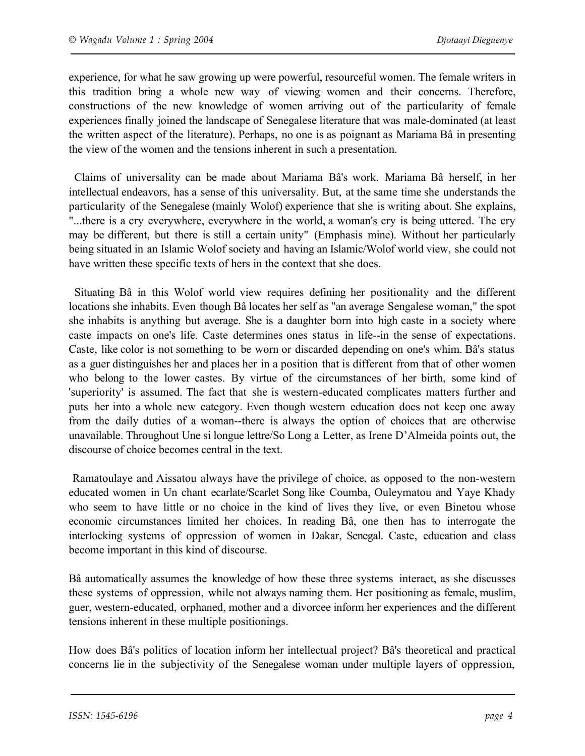experience, for what he saw growing up were powerful, resourceful women. The female writers in this tradition bring a whole new way of viewing women and their concerns. Therefore, constructions of the new knowledge of women arriving out of the particularity of female experiences finally joined the landscape of Senegalese literature that was male-dominated (at least the written aspect of the literature). Perhaps, no one is as poignant as Mariama Bâ in presenting the view of the women and the tensions inherent in such a presentation.

Claims of universality can be made about Mariama Bâ's work. Mariama Bâ herself, in her intellectual endeavors, has a sense of this universality. But, at the same time she understands the particularity of the Senegalese (mainly Wolof) experience that she is writing about. She explains, "...there is a cry everywhere, everywhere in the world, a woman's cry is being uttered. The cry may be different, but there is still a certain unity" (Emphasis mine). Without her particularly being situated in an Islamic Wolof society and having an Islamic/Wolof world view, she could not have written these specific texts of hers in the context that she does.

Situating Bâ in this Wolof world view requires defining her positionality and the different locations she inhabits. Even though Bâ locates her self as "an average Sengalese woman," the spot she inhabits is anything but average. She is a daughter born into high caste in a society where caste impacts on one's life. Caste determines ones status in life--in the sense of expectations. Caste, like color is not something to be worn or discarded depending on one's whim. Bâ's status as a guer distinguishes her and places her in a position that is different from that of other women who belong to the lower castes. By virtue of the circumstances of her birth, some kind of 'superiority' is assumed. The fact that she is western-educated complicates matters further and puts her into a whole new category. Even though western education does not keep one away from the daily duties of a woman--there is always the option of choices that are otherwise unavailable. Throughout Une si longue lettre/So Long a Letter, as Irene D'Almeida points out, the discourse of choice becomes central in the text.

Ramatoulaye and Aissatou always have the privilege of choice, as opposed to the non-western educated women in Un chant ecarlate/Scarlet Song like Coumba, Ouleymatou and Yaye Khady who seem to have little or no choice in the kind of lives they live, or even Binetou whose economic circumstances limited her choices. In reading Bâ, one then has to interrogate the interlocking systems of oppression of women in Dakar, Senegal. Caste, education and class become important in this kind of discourse.

Bâ automatically assumes the knowledge of how these three systems interact, as she discusses these systems of oppression, while not always naming them. Her positioning as female, muslim, guer, western-educated, orphaned, mother and a divorcee inform her experiences and the different tensions inherent in these multiple positionings.

How does Bâ's politics of location inform her intellectual project? Bâ's theoretical and practical concerns lie in the subjectivity of the Senegalese woman under multiple layers of oppression,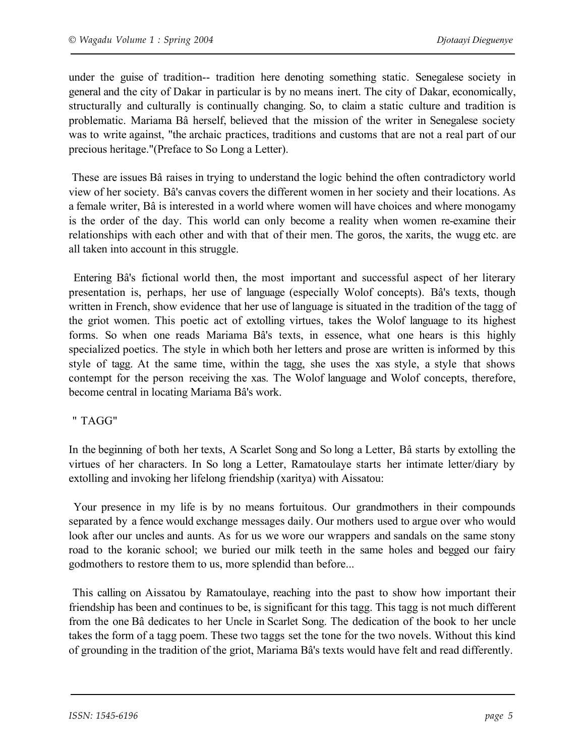under the guise of tradition-- tradition here denoting something static. Senegalese society in general and the city of Dakar in particular is by no means inert. The city of Dakar, economically, structurally and culturally is continually changing. So, to claim a static culture and tradition is problematic. Mariama Bâ herself, believed that the mission of the writer in Senegalese society was to write against, "the archaic practices, traditions and customs that are not a real part of our precious heritage."(Preface to So Long a Letter).

These are issues Bâ raises in trying to understand the logic behind the often contradictory world view of her society. Bâ's canvas covers the different women in her society and their locations. As a female writer, Bâ is interested in a world where women will have choices and where monogamy is the order of the day. This world can only become a reality when women re-examine their relationships with each other and with that of their men. The goros, the xarits, the wugg etc. are all taken into account in this struggle.

Entering Bâ's fictional world then, the most important and successful aspect of her literary presentation is, perhaps, her use of language (especially Wolof concepts). Bâ's texts, though written in French, show evidence that her use of language is situated in the tradition of the tagg of the griot women. This poetic act of extolling virtues, takes the Wolof language to its highest forms. So when one reads Mariama Bâ's texts, in essence, what one hears is this highly specialized poetics. The style in which both her letters and prose are written is informed by this style of tagg. At the same time, within the tagg, she uses the xas style, a style that shows contempt for the person receiving the xas. The Wolof language and Wolof concepts, therefore, become central in locating Mariama Bâ's work.

" TAGG"

In the beginning of both her texts, A Scarlet Song and So long a Letter, Bâ starts by extolling the virtues of her characters. In So long a Letter, Ramatoulaye starts her intimate letter/diary by extolling and invoking her lifelong friendship (xaritya) with Aissatou:

Your presence in my life is by no means fortuitous. Our grandmothers in their compounds separated by a fence would exchange messages daily. Our mothers used to argue over who would look after our uncles and aunts. As for us we wore our wrappers and sandals on the same stony road to the koranic school; we buried our milk teeth in the same holes and begged our fairy godmothers to restore them to us, more splendid than before...

This calling on Aissatou by Ramatoulaye, reaching into the past to show how important their friendship has been and continues to be, is significant for this tagg. This tagg is not much different from the one Bâ dedicates to her Uncle in Scarlet Song. The dedication of the book to her uncle takes the form of a tagg poem. These two taggs set the tone for the two novels. Without this kind of grounding in the tradition of the griot, Mariama Bâ's texts would have felt and read differently.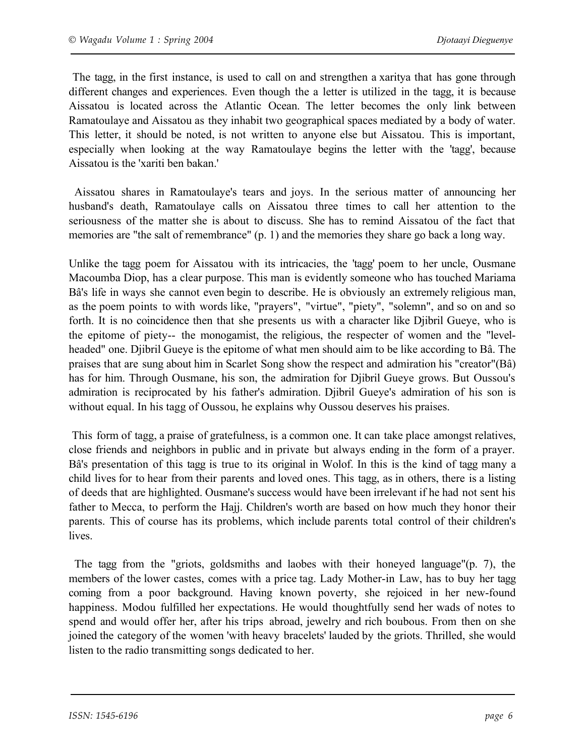The tagg, in the first instance, is used to call on and strengthen a xaritya that has gone through different changes and experiences. Even though the a letter is utilized in the tagg, it is because Aissatou is located across the Atlantic Ocean. The letter becomes the only link between Ramatoulaye and Aissatou as they inhabit two geographical spaces mediated by a body of water. This letter, it should be noted, is not written to anyone else but Aissatou. This is important, especially when looking at the way Ramatoulaye begins the letter with the 'tagg', because Aissatou is the 'xariti ben bakan.'

Aissatou shares in Ramatoulaye's tears and joys. In the serious matter of announcing her husband's death, Ramatoulaye calls on Aissatou three times to call her attention to the seriousness of the matter she is about to discuss. She has to remind Aissatou of the fact that memories are "the salt of remembrance" (p. 1) and the memories they share go back a long way.

Unlike the tagg poem for Aissatou with its intricacies, the 'tagg' poem to her uncle, Ousmane Macoumba Diop, has a clear purpose. This man is evidently someone who has touched Mariama Bâ's life in ways she cannot even begin to describe. He is obviously an extremely religious man, as the poem points to with words like, "prayers", "virtue", "piety", "solemn", and so on and so forth. It is no coincidence then that she presents us with a character like Djibril Gueye, who is the epitome of piety-- the monogamist, the religious, the respecter of women and the "levelheaded" one. Djibril Gueye is the epitome of what men should aim to be like according to Bâ. The praises that are sung about him in Scarlet Song show the respect and admiration his "creator"(Bâ) has for him. Through Ousmane, his son, the admiration for Djibril Gueye grows. But Oussou's admiration is reciprocated by his father's admiration. Djibril Gueye's admiration of his son is without equal. In his tagg of Oussou, he explains why Oussou deserves his praises.

This form of tagg, a praise of gratefulness, is a common one. It can take place amongst relatives, close friends and neighbors in public and in private but always ending in the form of a prayer. Bâ's presentation of this tagg is true to its original in Wolof. In this is the kind of tagg many a child lives for to hear from their parents and loved ones. This tagg, as in others, there is a listing of deeds that are highlighted. Ousmane's success would have been irrelevant if he had not sent his father to Mecca, to perform the Hajj. Children's worth are based on how much they honor their parents. This of course has its problems, which include parents total control of their children's lives.

The tagg from the "griots, goldsmiths and laobes with their honeyed language"(p. 7), the members of the lower castes, comes with a price tag. Lady Mother-in Law, has to buy her tagg coming from a poor background. Having known poverty, she rejoiced in her new-found happiness. Modou fulfilled her expectations. He would thoughtfully send her wads of notes to spend and would offer her, after his trips abroad, jewelry and rich boubous. From then on she joined the category of the women 'with heavy bracelets' lauded by the griots. Thrilled, she would listen to the radio transmitting songs dedicated to her.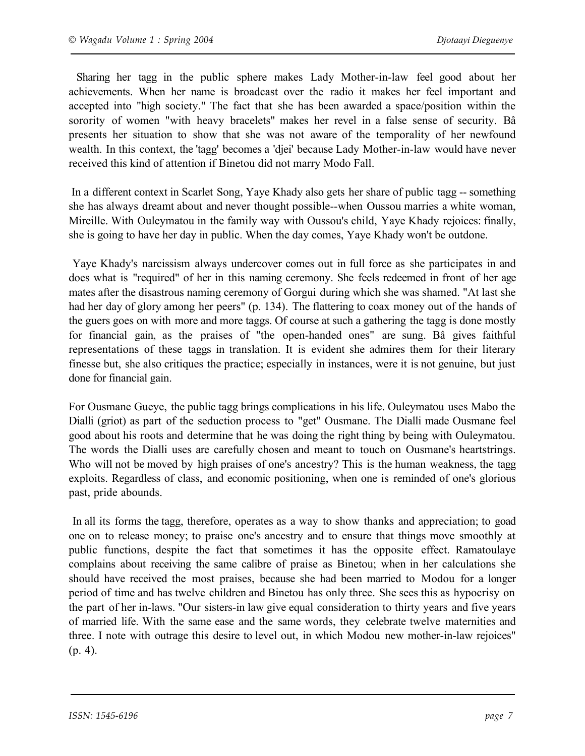Sharing her tagg in the public sphere makes Lady Mother-in-law feel good about her achievements. When her name is broadcast over the radio it makes her feel important and accepted into "high society." The fact that she has been awarded a space/position within the sorority of women "with heavy bracelets" makes her revel in a false sense of security. Bâ presents her situation to show that she was not aware of the temporality of her newfound wealth. In this context, the 'tagg' becomes a 'djei' because Lady Mother-in-law would have never received this kind of attention if Binetou did not marry Modo Fall.

 In a different context in Scarlet Song, Yaye Khady also gets her share of public tagg -- something she has always dreamt about and never thought possible--when Oussou marries a white woman, Mireille. With Ouleymatou in the family way with Oussou's child, Yaye Khady rejoices: finally, she is going to have her day in public. When the day comes, Yaye Khady won't be outdone.

Yaye Khady's narcissism always undercover comes out in full force as she participates in and does what is "required" of her in this naming ceremony. She feels redeemed in front of her age mates after the disastrous naming ceremony of Gorgui during which she was shamed. "At last she had her day of glory among her peers" (p. 134). The flattering to coax money out of the hands of the guers goes on with more and more taggs. Of course at such a gathering the tagg is done mostly for financial gain, as the praises of "the open-handed ones" are sung. Bâ gives faithful representations of these taggs in translation. It is evident she admires them for their literary finesse but, she also critiques the practice; especially in instances, were it is not genuine, but just done for financial gain.

For Ousmane Gueye, the public tagg brings complications in his life. Ouleymatou uses Mabo the Dialli (griot) as part of the seduction process to "get" Ousmane. The Dialli made Ousmane feel good about his roots and determine that he was doing the right thing by being with Ouleymatou. The words the Dialli uses are carefully chosen and meant to touch on Ousmane's heartstrings. Who will not be moved by high praises of one's ancestry? This is the human weakness, the tagg exploits. Regardless of class, and economic positioning, when one is reminded of one's glorious past, pride abounds.

In all its forms the tagg, therefore, operates as a way to show thanks and appreciation; to goad one on to release money; to praise one's ancestry and to ensure that things move smoothly at public functions, despite the fact that sometimes it has the opposite effect. Ramatoulaye complains about receiving the same calibre of praise as Binetou; when in her calculations she should have received the most praises, because she had been married to Modou for a longer period of time and has twelve children and Binetou has only three. She sees this as hypocrisy on the part of her in-laws. "Our sisters-in law give equal consideration to thirty years and five years of married life. With the same ease and the same words, they celebrate twelve maternities and three. I note with outrage this desire to level out, in which Modou new mother-in-law rejoices" (p. 4).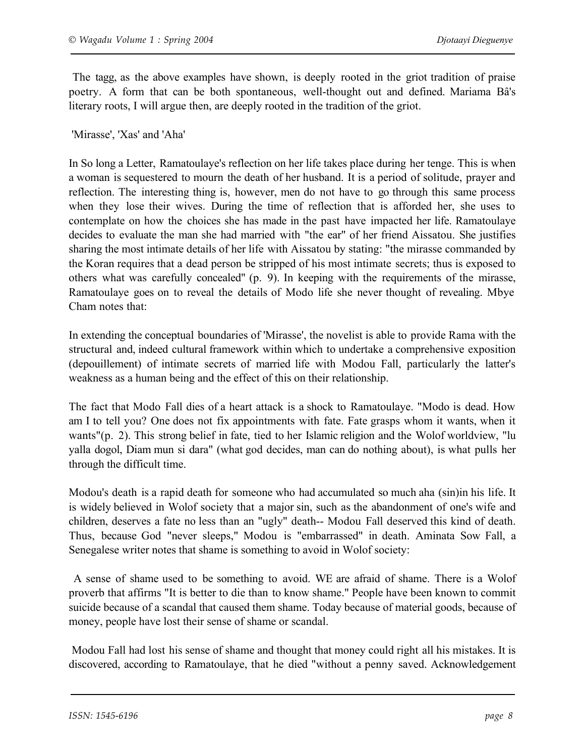The tagg, as the above examples have shown, is deeply rooted in the griot tradition of praise poetry. A form that can be both spontaneous, well-thought out and defined. Mariama Bâ's literary roots, I will argue then, are deeply rooted in the tradition of the griot.

'Mirasse', 'Xas' and 'Aha'

In So long a Letter, Ramatoulaye's reflection on her life takes place during her tenge. This is when a woman is sequestered to mourn the death of her husband. It is a period of solitude, prayer and reflection. The interesting thing is, however, men do not have to go through this same process when they lose their wives. During the time of reflection that is afforded her, she uses to contemplate on how the choices she has made in the past have impacted her life. Ramatoulaye decides to evaluate the man she had married with "the ear" of her friend Aissatou. She justifies sharing the most intimate details of her life with Aissatou by stating: "the mirasse commanded by the Koran requires that a dead person be stripped of his most intimate secrets; thus is exposed to others what was carefully concealed" (p. 9). In keeping with the requirements of the mirasse, Ramatoulaye goes on to reveal the details of Modo life she never thought of revealing. Mbye Cham notes that:

In extending the conceptual boundaries of 'Mirasse', the novelist is able to provide Rama with the structural and, indeed cultural framework within which to undertake a comprehensive exposition (depouillement) of intimate secrets of married life with Modou Fall, particularly the latter's weakness as a human being and the effect of this on their relationship.

The fact that Modo Fall dies of a heart attack is a shock to Ramatoulaye. "Modo is dead. How am I to tell you? One does not fix appointments with fate. Fate grasps whom it wants, when it wants"(p. 2). This strong belief in fate, tied to her Islamic religion and the Wolof worldview, "lu yalla dogol, Diam mun si dara" (what god decides, man can do nothing about), is what pulls her through the difficult time.

Modou's death is a rapid death for someone who had accumulated so much aha (sin)in his life. It is widely believed in Wolof society that a major sin, such as the abandonment of one's wife and children, deserves a fate no less than an "ugly" death-- Modou Fall deserved this kind of death. Thus, because God "never sleeps," Modou is "embarrassed" in death. Aminata Sow Fall, a Senegalese writer notes that shame is something to avoid in Wolof society:

A sense of shame used to be something to avoid. WE are afraid of shame. There is a Wolof proverb that affirms "It is better to die than to know shame." People have been known to commit suicide because of a scandal that caused them shame. Today because of material goods, because of money, people have lost their sense of shame or scandal.

Modou Fall had lost his sense of shame and thought that money could right all his mistakes. It is discovered, according to Ramatoulaye, that he died "without a penny saved. Acknowledgement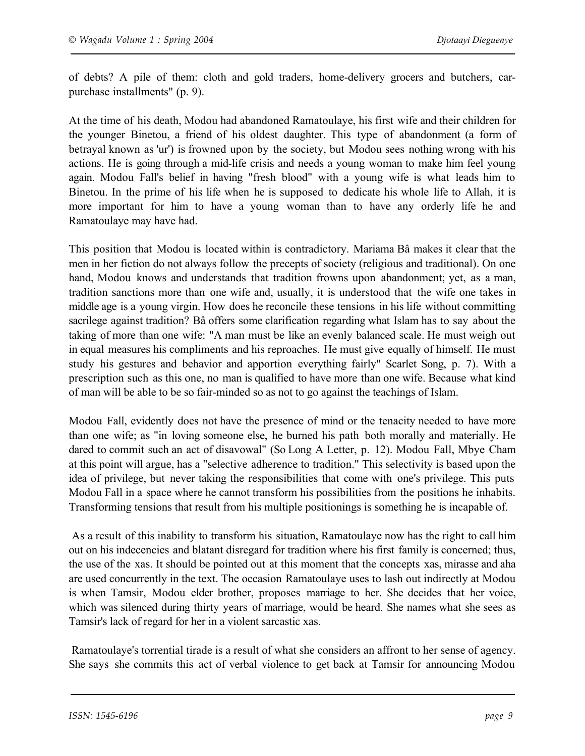of debts? A pile of them: cloth and gold traders, home-delivery grocers and butchers, carpurchase installments" (p. 9).

At the time of his death, Modou had abandoned Ramatoulaye, his first wife and their children for the younger Binetou, a friend of his oldest daughter. This type of abandonment (a form of betrayal known as 'ur') is frowned upon by the society, but Modou sees nothing wrong with his actions. He is going through a mid-life crisis and needs a young woman to make him feel young again. Modou Fall's belief in having "fresh blood" with a young wife is what leads him to Binetou. In the prime of his life when he is supposed to dedicate his whole life to Allah, it is more important for him to have a young woman than to have any orderly life he and Ramatoulaye may have had.

This position that Modou is located within is contradictory. Mariama Bâ makes it clear that the men in her fiction do not always follow the precepts of society (religious and traditional). On one hand, Modou knows and understands that tradition frowns upon abandonment; yet, as a man, tradition sanctions more than one wife and, usually, it is understood that the wife one takes in middle age is a young virgin. How does he reconcile these tensions in his life without committing sacrilege against tradition? Bâ offers some clarification regarding what Islam has to say about the taking of more than one wife: "A man must be like an evenly balanced scale. He must weigh out in equal measures his compliments and his reproaches. He must give equally of himself. He must study his gestures and behavior and apportion everything fairly" Scarlet Song, p. 7). With a prescription such as this one, no man is qualified to have more than one wife. Because what kind of man will be able to be so fair-minded so as not to go against the teachings of Islam.

Modou Fall, evidently does not have the presence of mind or the tenacity needed to have more than one wife; as "in loving someone else, he burned his path both morally and materially. He dared to commit such an act of disavowal" (So Long A Letter, p. 12). Modou Fall, Mbye Cham at this point will argue, has a "selective adherence to tradition." This selectivity is based upon the idea of privilege, but never taking the responsibilities that come with one's privilege. This puts Modou Fall in a space where he cannot transform his possibilities from the positions he inhabits. Transforming tensions that result from his multiple positionings is something he is incapable of.

As a result of this inability to transform his situation, Ramatoulaye now has the right to call him out on his indecencies and blatant disregard for tradition where his first family is concerned; thus, the use of the xas. It should be pointed out at this moment that the concepts xas, mirasse and aha are used concurrently in the text. The occasion Ramatoulaye uses to lash out indirectly at Modou is when Tamsir, Modou elder brother, proposes marriage to her. She decides that her voice, which was silenced during thirty years of marriage, would be heard. She names what she sees as Tamsir's lack of regard for her in a violent sarcastic xas.

 Ramatoulaye's torrential tirade is a result of what she considers an affront to her sense of agency. She says she commits this act of verbal violence to get back at Tamsir for announcing Modou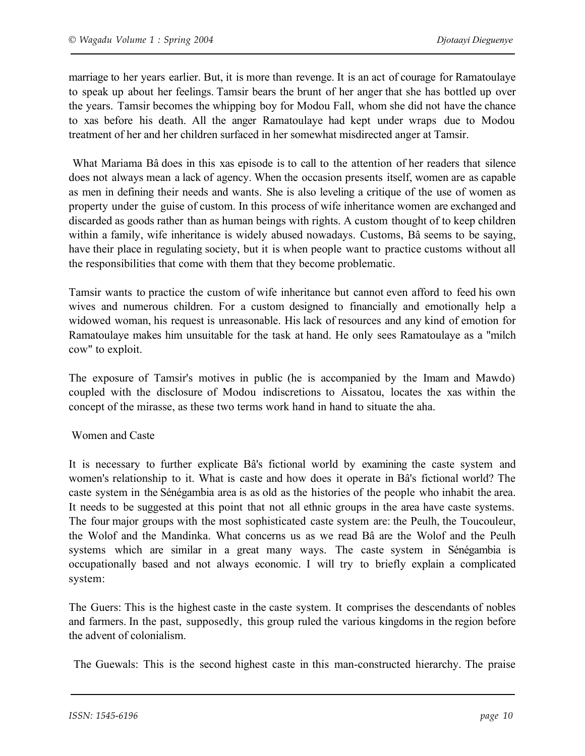marriage to her years earlier. But, it is more than revenge. It is an act of courage for Ramatoulaye to speak up about her feelings. Tamsir bears the brunt of her anger that she has bottled up over the years. Tamsir becomes the whipping boy for Modou Fall, whom she did not have the chance to xas before his death. All the anger Ramatoulaye had kept under wraps due to Modou treatment of her and her children surfaced in her somewhat misdirected anger at Tamsir.

What Mariama Bâ does in this xas episode is to call to the attention of her readers that silence does not always mean a lack of agency. When the occasion presents itself, women are as capable as men in defining their needs and wants. She is also leveling a critique of the use of women as property under the guise of custom. In this process of wife inheritance women are exchanged and discarded as goods rather than as human beings with rights. A custom thought of to keep children within a family, wife inheritance is widely abused nowadays. Customs, Bâ seems to be saying, have their place in regulating society, but it is when people want to practice customs without all the responsibilities that come with them that they become problematic.

Tamsir wants to practice the custom of wife inheritance but cannot even afford to feed his own wives and numerous children. For a custom designed to financially and emotionally help a widowed woman, his request is unreasonable. His lack of resources and any kind of emotion for Ramatoulaye makes him unsuitable for the task at hand. He only sees Ramatoulaye as a "milch cow" to exploit.

The exposure of Tamsir's motives in public (he is accompanied by the Imam and Mawdo) coupled with the disclosure of Modou indiscretions to Aissatou, locates the xas within the concept of the mirasse, as these two terms work hand in hand to situate the aha.

### Women and Caste

It is necessary to further explicate Bâ's fictional world by examining the caste system and women's relationship to it. What is caste and how does it operate in Bâ's fictional world? The caste system in the Sénégambia area is as old as the histories of the people who inhabit the area. It needs to be suggested at this point that not all ethnic groups in the area have caste systems. The four major groups with the most sophisticated caste system are: the Peulh, the Toucouleur, the Wolof and the Mandinka. What concerns us as we read Bâ are the Wolof and the Peulh systems which are similar in a great many ways. The caste system in Sénégambia is occupationally based and not always economic. I will try to briefly explain a complicated system:

The Guers: This is the highest caste in the caste system. It comprises the descendants of nobles and farmers. In the past, supposedly, this group ruled the various kingdoms in the region before the advent of colonialism.

The Guewals: This is the second highest caste in this man-constructed hierarchy. The praise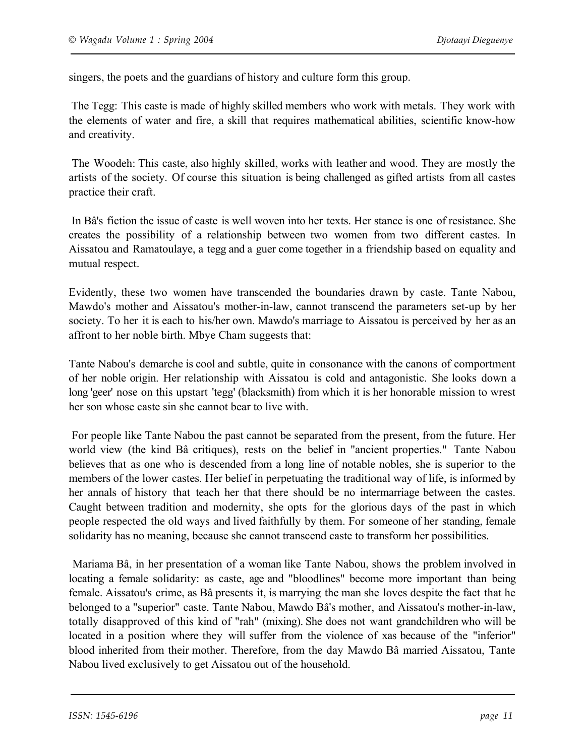singers, the poets and the guardians of history and culture form this group.

 The Tegg: This caste is made of highly skilled members who work with metals. They work with the elements of water and fire, a skill that requires mathematical abilities, scientific know-how and creativity.

The Woodeh: This caste, also highly skilled, works with leather and wood. They are mostly the artists of the society. Of course this situation is being challenged as gifted artists from all castes practice their craft.

 In Bâ's fiction the issue of caste is well woven into her texts. Her stance is one of resistance. She creates the possibility of a relationship between two women from two different castes. In Aissatou and Ramatoulaye, a tegg and a guer come together in a friendship based on equality and mutual respect.

Evidently, these two women have transcended the boundaries drawn by caste. Tante Nabou, Mawdo's mother and Aissatou's mother-in-law, cannot transcend the parameters set-up by her society. To her it is each to his/her own. Mawdo's marriage to Aissatou is perceived by her as an affront to her noble birth. Mbye Cham suggests that:

Tante Nabou's demarche is cool and subtle, quite in consonance with the canons of comportment of her noble origin. Her relationship with Aissatou is cold and antagonistic. She looks down a long 'geer' nose on this upstart 'tegg' (blacksmith) from which it is her honorable mission to wrest her son whose caste sin she cannot bear to live with.

For people like Tante Nabou the past cannot be separated from the present, from the future. Her world view (the kind Bâ critiques), rests on the belief in "ancient properties." Tante Nabou believes that as one who is descended from a long line of notable nobles, she is superior to the members of the lower castes. Her belief in perpetuating the traditional way of life, is informed by her annals of history that teach her that there should be no intermarriage between the castes. Caught between tradition and modernity, she opts for the glorious days of the past in which people respected the old ways and lived faithfully by them. For someone of her standing, female solidarity has no meaning, because she cannot transcend caste to transform her possibilities.

Mariama Bâ, in her presentation of a woman like Tante Nabou, shows the problem involved in locating a female solidarity: as caste, age and "bloodlines" become more important than being female. Aissatou's crime, as Bâ presents it, is marrying the man she loves despite the fact that he belonged to a "superior" caste. Tante Nabou, Mawdo Bâ's mother, and Aissatou's mother-in-law, totally disapproved of this kind of "rah" (mixing). She does not want grandchildren who will be located in a position where they will suffer from the violence of xas because of the "inferior" blood inherited from their mother. Therefore, from the day Mawdo Bâ married Aissatou, Tante Nabou lived exclusively to get Aissatou out of the household.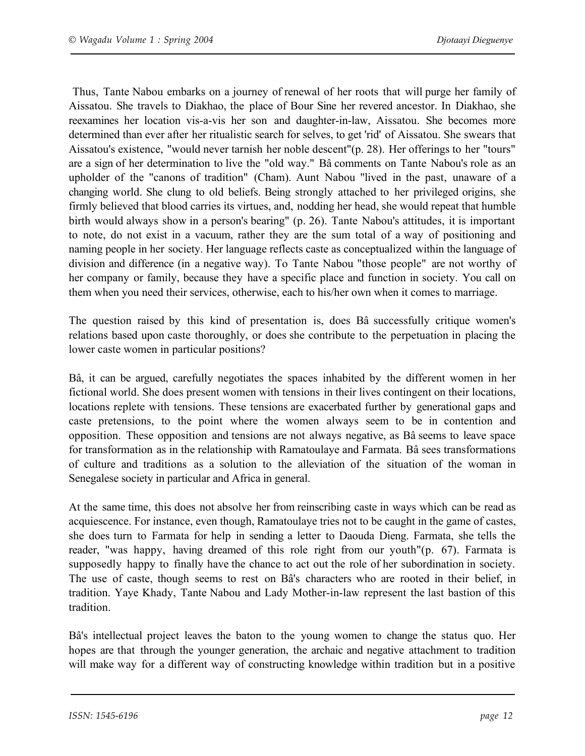Thus, Tante Nabou embarks on a journey of renewal of her roots that will purge her family of Aissatou. She travels to Diakhao, the place of Bour Sine her revered ancestor. In Diakhao, she reexamines her location vis-a-vis her son and daughter-in-law, Aissatou. She becomes more determined than ever after her ritualistic search for selves, to get 'rid' of Aissatou. She swears that Aissatou's existence, "would never tarnish her noble descent"(p. 28). Her offerings to her "tours" are a sign of her determination to live the "old way." Bâ comments on Tante Nabou's role as an upholder of the "canons of tradition" (Cham). Aunt Nabou "lived in the past, unaware of a changing world. She clung to old beliefs. Being strongly attached to her privileged origins, she firmly believed that blood carries its virtues, and, nodding her head, she would repeat that humble birth would always show in a person's bearing" (p. 26). Tante Nabou's attitudes, it is important to note, do not exist in a vacuum, rather they are the sum total of a way of positioning and naming people in her society. Her language reflects caste as conceptualized within the language of division and difference (in a negative way). To Tante Nabou "those people" are not worthy of her company or family, because they have a specific place and function in society. You call on them when you need their services, otherwise, each to his/her own when it comes to marriage.

The question raised by this kind of presentation is, does Bâ successfully critique women's relations based upon caste thoroughly, or does she contribute to the perpetuation in placing the lower caste women in particular positions?

Bâ, it can be argued, carefully negotiates the spaces inhabited by the different women in her fictional world. She does present women with tensions in their lives contingent on their locations, locations replete with tensions. These tensions are exacerbated further by generational gaps and caste pretensions, to the point where the women always seem to be in contention and opposition. These opposition and tensions are not always negative, as Bâ seems to leave space for transformation as in the relationship with Ramatoulaye and Farmata. Bâ sees transformations of culture and traditions as a solution to the alleviation of the situation of the woman in Senegalese society in particular and Africa in general.

At the same time, this does not absolve her from reinscribing caste in ways which can be read as acquiescence. For instance, even though, Ramatoulaye tries not to be caught in the game of castes, she does turn to Farmata for help in sending a letter to Daouda Dieng. Farmata, she tells the reader, "was happy, having dreamed of this role right from our youth"(p. 67). Farmata is supposedly happy to finally have the chance to act out the role of her subordination in society. The use of caste, though seems to rest on Bâ's characters who are rooted in their belief, in tradition. Yaye Khady, Tante Nabou and Lady Mother-in-law represent the last bastion of this tradition.

Bâ's intellectual project leaves the baton to the young women to change the status quo. Her hopes are that through the younger generation, the archaic and negative attachment to tradition will make way for a different way of constructing knowledge within tradition but in a positive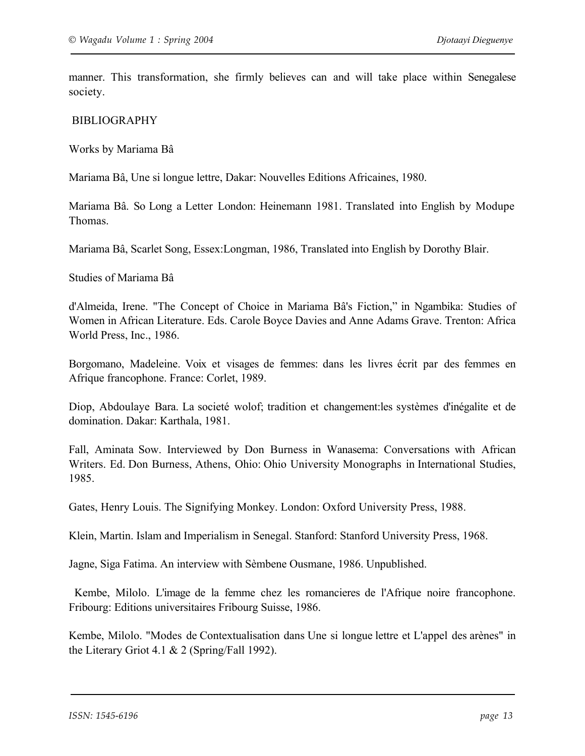manner. This transformation, she firmly believes can and will take place within Senegalese society.

#### BIBLIOGRAPHY

Works by Mariama Bâ

Mariama Bâ, Une si longue lettre, Dakar: Nouvelles Editions Africaines, 1980.

Mariama Bâ. So Long a Letter London: Heinemann 1981. Translated into English by Modupe Thomas.

Mariama Bâ, Scarlet Song, Essex:Longman, 1986, Translated into English by Dorothy Blair.

Studies of Mariama Bâ

d'Almeida, Irene. "The Concept of Choice in Mariama Bâ's Fiction," in Ngambika: Studies of Women in African Literature. Eds. Carole Boyce Davies and Anne Adams Grave. Trenton: Africa World Press, Inc., 1986.

Borgomano, Madeleine. Voix et visages de femmes: dans les livres écrit par des femmes en Afrique francophone. France: Corlet, 1989.

Diop, Abdoulaye Bara. La societé wolof; tradition et changement:les systèmes d'inégalite et de domination. Dakar: Karthala, 1981.

Fall, Aminata Sow. Interviewed by Don Burness in Wanasema: Conversations with African Writers. Ed. Don Burness, Athens, Ohio: Ohio University Monographs in International Studies, 1985.

Gates, Henry Louis. The Signifying Monkey. London: Oxford University Press, 1988.

Klein, Martin. Islam and Imperialism in Senegal. Stanford: Stanford University Press, 1968.

Jagne, Siga Fatima. An interview with Sèmbene Ousmane, 1986. Unpublished.

Kembe, Milolo. L'image de la femme chez les romancieres de l'Afrique noire francophone. Fribourg: Editions universitaires Fribourg Suisse, 1986.

Kembe, Milolo. "Modes de Contextualisation dans Une si longue lettre et L'appel des arènes" in the Literary Griot 4.1 & 2 (Spring/Fall 1992).